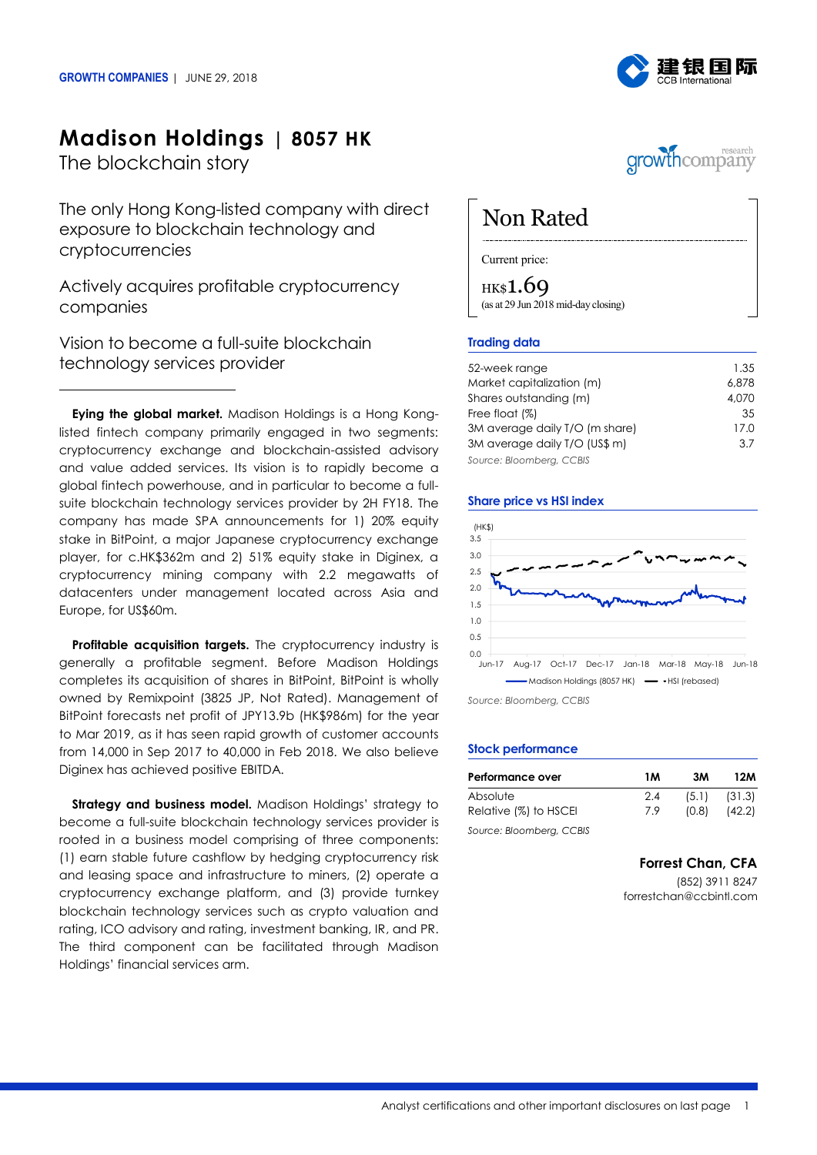

## **Madison Holdings | 8057 HK**

The blockchain story

The only Hong Kong-listed company with direct exposure to blockchain technology and cryptocurrencies

Actively acquires profitable cryptocurrency companies

Vision to become a full-suite blockchain technology services provider

**Eying the global market.** Madison Holdings is a Hong Konglisted fintech company primarily engaged in two segments: cryptocurrency exchange and blockchain-assisted advisory and value added services. Its vision is to rapidly become a global fintech powerhouse, and in particular to become a fullsuite blockchain technology services provider by 2H FY18. The company has made SPA announcements for 1) 20% equity stake in BitPoint, a major Japanese cryptocurrency exchange player, for c.HK\$362m and 2) 51% equity stake in Diginex, a cryptocurrency mining company with 2.2 megawatts of datacenters under management located across Asia and Europe, for US\$60m.

**Profitable acquisition targets.** The cryptocurrency industry is generally a profitable segment. Before Madison Holdings completes its acquisition of shares in BitPoint, BitPoint is wholly owned by Remixpoint (3825 JP, Not Rated). Management of BitPoint forecasts net profit of JPY13.9b (HK\$986m) for the year to Mar 2019, as it has seen rapid growth of customer accounts from 14,000 in Sep 2017 to 40,000 in Feb 2018. We also believe Diginex has achieved positive EBITDA.

**Strategy and business model.** Madison Holdings' strategy to become a full-suite blockchain technology services provider is rooted in a business model comprising of three components: (1) earn stable future cashflow by hedging cryptocurrency risk and leasing space and infrastructure to miners, (2) operate a cryptocurrency exchange platform, and (3) provide turnkey blockchain technology services such as crypto valuation and rating, ICO advisory and rating, investment banking, IR, and PR. The third component can be facilitated through Madison Holdings' financial services arm.



# Non Rated

Current price:

HK\$1.69 (as at 29 Jun 2018 mid-day closing)

## **Trading data**

| 52-week range                  | 1.35  |
|--------------------------------|-------|
| Market capitalization (m)      | 6.878 |
| Shares outstanding (m)         | 4,070 |
| Free float (%)                 | 35    |
| 3M average daily T/O (m share) | 17.0  |
| 3M average daily T/O (US\$ m)  | 3.7   |
| Source: Bloomberg, CCBIS       |       |

## **Share price vs HSI index**



*Source: Bloomberg, CCBIS*

## **Stock performance**

| Performance over         | 1 M | 3M    | 12M    |
|--------------------------|-----|-------|--------|
| Absolute                 | 2.4 | (5.1) | (31.3) |
| Relative (%) to HSCEI    | 7.9 | (0.8) | (42.2) |
| Source: Bloomberg, CCBIS |     |       |        |

**Forrest Chan, CFA**

(852) 3911 8247 forrestchan@ccbintl.com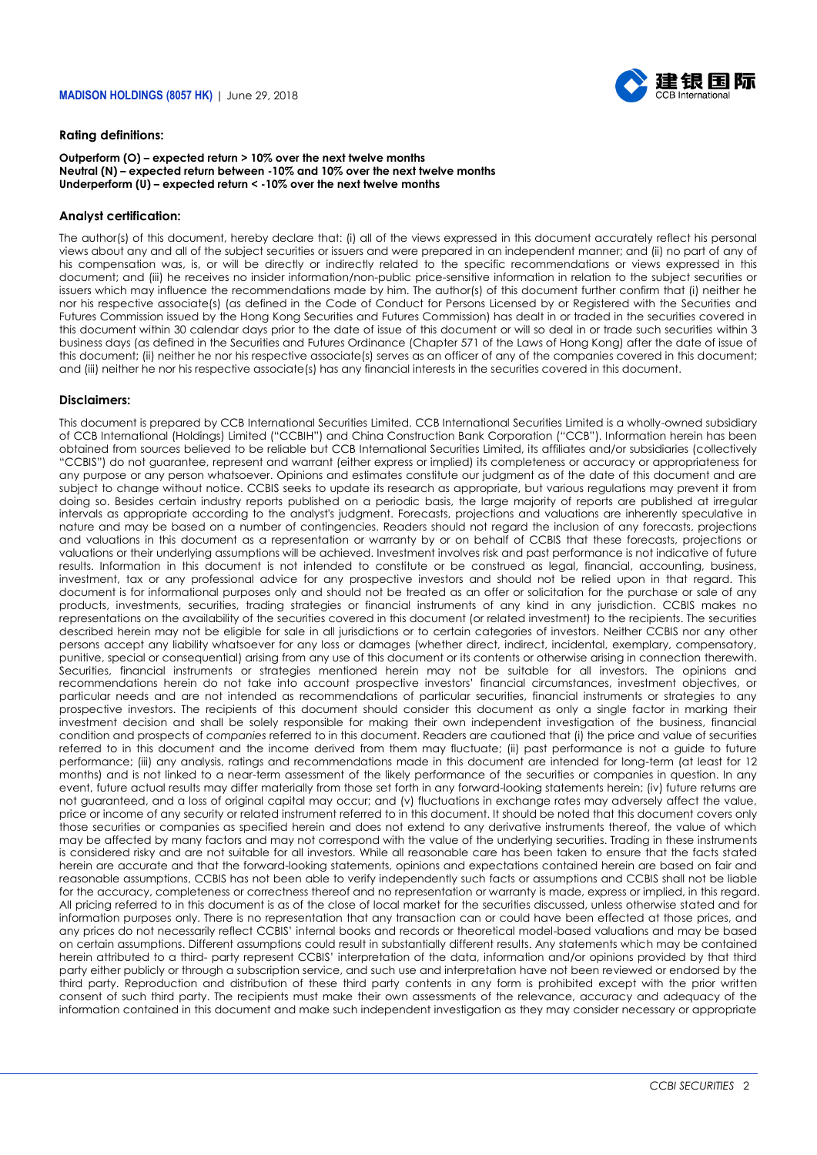

## **Rating definitions:**

#### **Outperform (O) – expected return > 10% over the next twelve months Neutral (N) – expected return between -10% and 10% over the next twelve months Underperform (U) – expected return < -10% over the next twelve months**

## **Analyst certification:**

The author(s) of this document, hereby declare that: (i) all of the views expressed in this document accurately reflect his personal views about any and all of the subject securities or issuers and were prepared in an independent manner; and (ii) no part of any of his compensation was, is, or will be directly or indirectly related to the specific recommendations or views expressed in this document; and (iii) he receives no insider information/non-public price-sensitive information in relation to the subject securities or issuers which may influence the recommendations made by him. The author(s) of this document further confirm that (i) neither he nor his respective associate(s) (as defined in the Code of Conduct for Persons Licensed by or Registered with the Securities and Futures Commission issued by the Hong Kong Securities and Futures Commission) has dealt in or traded in the securities covered in this document within 30 calendar days prior to the date of issue of this document or will so deal in or trade such securities within 3 business days (as defined in the Securities and Futures Ordinance (Chapter 571 of the Laws of Hong Kong) after the date of issue of this document; (ii) neither he nor his respective associate(s) serves as an officer of any of the companies covered in this document; and (iii) neither he nor his respective associate(s) has any financial interests in the securities covered in this document.

## **Disclaimers:**

This document is prepared by CCB International Securities Limited. CCB International Securities Limited is a wholly-owned subsidiary of CCB International (Holdings) Limited ("CCBIH") and China Construction Bank Corporation ("CCB"). Information herein has been obtained from sources believed to be reliable but CCB International Securities Limited, its affiliates and/or subsidiaries (collectively "CCBIS") do not guarantee, represent and warrant (either express or implied) its completeness or accuracy or appropriateness for any purpose or any person whatsoever. Opinions and estimates constitute our judgment as of the date of this document and are subject to change without notice. CCBIS seeks to update its research as appropriate, but various regulations may prevent it from doing so. Besides certain industry reports published on a periodic basis, the large majority of reports are published at irregular intervals as appropriate according to the analyst's judgment. Forecasts, projections and valuations are inherently speculative in nature and may be based on a number of contingencies. Readers should not regard the inclusion of any forecasts, projections and valuations in this document as a representation or warranty by or on behalf of CCBIS that these forecasts, projections or valuations or their underlying assumptions will be achieved. Investment involves risk and past performance is not indicative of future results. Information in this document is not intended to constitute or be construed as legal, financial, accounting, business, investment, tax or any professional advice for any prospective investors and should not be relied upon in that regard. This document is for informational purposes only and should not be treated as an offer or solicitation for the purchase or sale of any products, investments, securities, trading strategies or financial instruments of any kind in any jurisdiction. CCBIS makes no representations on the availability of the securities covered in this document (or related investment) to the recipients. The securities described herein may not be eligible for sale in all jurisdictions or to certain categories of investors. Neither CCBIS nor any other persons accept any liability whatsoever for any loss or damages (whether direct, indirect, incidental, exemplary, compensatory, punitive, special or consequential) arising from any use of this document or its contents or otherwise arising in connection therewith. Securities, financial instruments or strategies mentioned herein may not be suitable for all investors. The opinions and recommendations herein do not take into account prospective investors' financial circumstances, investment objectives, or particular needs and are not intended as recommendations of particular securities, financial instruments or strategies to any prospective investors. The recipients of this document should consider this document as only a single factor in marking their investment decision and shall be solely responsible for making their own independent investigation of the business, financial condition and prospects of *companies* referred to in this document. Readers are cautioned that (i) the price and value of securities referred to in this document and the income derived from them may fluctuate; (ii) past performance is not a guide to future performance; (iii) any analysis, ratings and recommendations made in this document are intended for long-term (at least for 12 months) and is not linked to a near-term assessment of the likely performance of the securities or companies in question. In any event, future actual results may differ materially from those set forth in any forward-looking statements herein; (iv) future returns are not guaranteed, and a loss of original capital may occur; and (v) fluctuations in exchange rates may adversely affect the value, price or income of any security or related instrument referred to in this document. It should be noted that this document covers only those securities or companies as specified herein and does not extend to any derivative instruments thereof, the value of which may be affected by many factors and may not correspond with the value of the underlying securities. Trading in these instruments is considered risky and are not suitable for all investors. While all reasonable care has been taken to ensure that the facts stated herein are accurate and that the forward-looking statements, opinions and expectations contained herein are based on fair and reasonable assumptions, CCBIS has not been able to verify independently such facts or assumptions and CCBIS shall not be liable for the accuracy, completeness or correctness thereof and no representation or warranty is made, express or implied, in this regard. All pricing referred to in this document is as of the close of local market for the securities discussed, unless otherwise stated and for information purposes only. There is no representation that any transaction can or could have been effected at those prices, and any prices do not necessarily reflect CCBIS' internal books and records or theoretical model-based valuations and may be based on certain assumptions. Different assumptions could result in substantially different results. Any statements which may be contained herein attributed to a third- party represent CCBIS' interpretation of the data, information and/or opinions provided by that third party either publicly or through a subscription service, and such use and interpretation have not been reviewed or endorsed by the third party. Reproduction and distribution of these third party contents in any form is prohibited except with the prior written consent of such third party. The recipients must make their own assessments of the relevance, accuracy and adequacy of the information contained in this document and make such independent investigation as they may consider necessary or appropriate